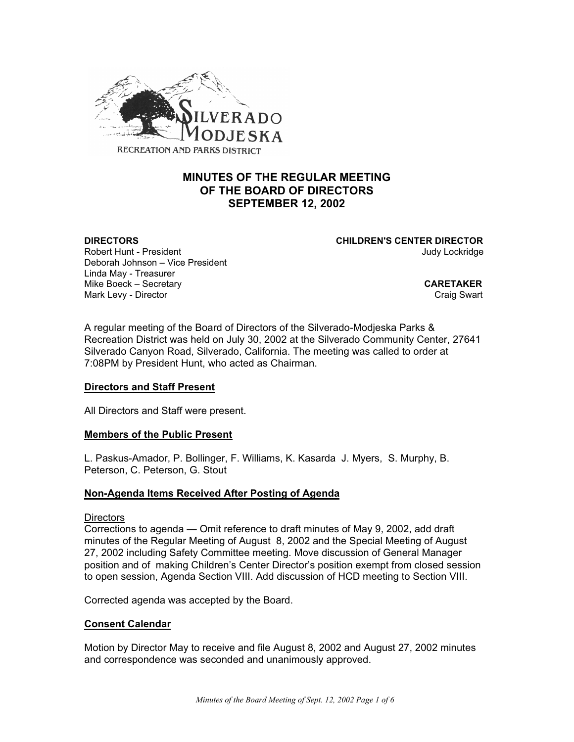

# **MINUTES OF THE REGULAR MEETING OF THE BOARD OF DIRECTORS SEPTEMBER 12, 2002**

**DIRECTORS CHILDREN'S CENTER DIRECTOR**

Robert Hunt - President American Communication of the University of the University of American American Communication Deborah Johnson – Vice President Linda May - Treasurer Mike Boeck – Secretary **CARETAKER** Mark Levy - Director Craig Swart Craig Swart Craig Swart Craig Swart

A regular meeting of the Board of Directors of the Silverado-Modjeska Parks & Recreation District was held on July 30, 2002 at the Silverado Community Center, 27641 Silverado Canyon Road, Silverado, California. The meeting was called to order at 7:08PM by President Hunt, who acted as Chairman.

#### **Directors and Staff Present**

All Directors and Staff were present.

#### **Members of the Public Present**

L. Paskus-Amador, P. Bollinger, F. Williams, K. Kasarda J. Myers, S. Murphy, B. Peterson, C. Peterson, G. Stout

#### **Non-Agenda Items Received After Posting of Agenda**

#### **Directors**

Corrections to agenda — Omit reference to draft minutes of May 9, 2002, add draft minutes of the Regular Meeting of August 8, 2002 and the Special Meeting of August 27, 2002 including Safety Committee meeting. Move discussion of General Manager position and of making Children's Center Director's position exempt from closed session to open session, Agenda Section VIII. Add discussion of HCD meeting to Section VIII.

Corrected agenda was accepted by the Board.

#### **Consent Calendar**

Motion by Director May to receive and file August 8, 2002 and August 27, 2002 minutes and correspondence was seconded and unanimously approved.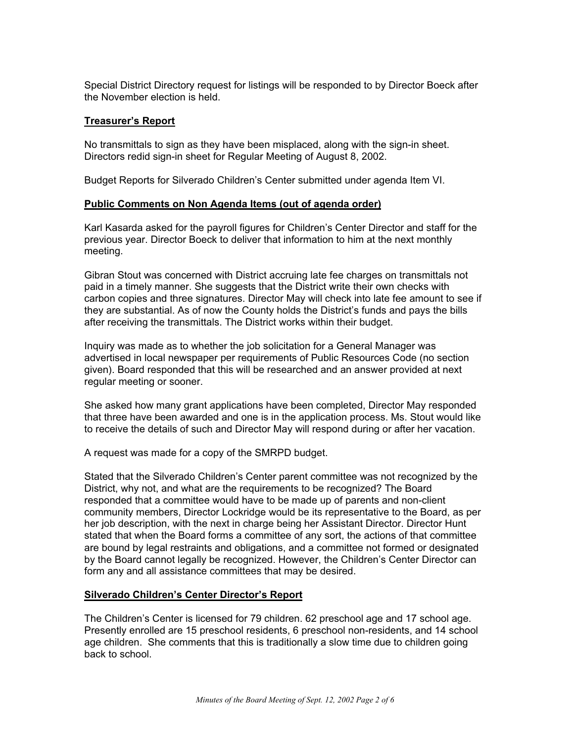Special District Directory request for listings will be responded to by Director Boeck after the November election is held.

### **Treasurer's Report**

No transmittals to sign as they have been misplaced, along with the sign-in sheet. Directors redid sign-in sheet for Regular Meeting of August 8, 2002.

Budget Reports for Silverado Children's Center submitted under agenda Item VI.

#### **Public Comments on Non Agenda Items (out of agenda order)**

Karl Kasarda asked for the payroll figures for Children's Center Director and staff for the previous year. Director Boeck to deliver that information to him at the next monthly meeting.

Gibran Stout was concerned with District accruing late fee charges on transmittals not paid in a timely manner. She suggests that the District write their own checks with carbon copies and three signatures. Director May will check into late fee amount to see if they are substantial. As of now the County holds the District's funds and pays the bills after receiving the transmittals. The District works within their budget.

Inquiry was made as to whether the job solicitation for a General Manager was advertised in local newspaper per requirements of Public Resources Code (no section given). Board responded that this will be researched and an answer provided at next regular meeting or sooner.

She asked how many grant applications have been completed, Director May responded that three have been awarded and one is in the application process. Ms. Stout would like to receive the details of such and Director May will respond during or after her vacation.

A request was made for a copy of the SMRPD budget.

Stated that the Silverado Children's Center parent committee was not recognized by the District, why not, and what are the requirements to be recognized? The Board responded that a committee would have to be made up of parents and non-client community members, Director Lockridge would be its representative to the Board, as per her job description, with the next in charge being her Assistant Director. Director Hunt stated that when the Board forms a committee of any sort, the actions of that committee are bound by legal restraints and obligations, and a committee not formed or designated by the Board cannot legally be recognized. However, the Children's Center Director can form any and all assistance committees that may be desired.

#### **Silverado Children's Center Director's Report**

The Children's Center is licensed for 79 children. 62 preschool age and 17 school age. Presently enrolled are 15 preschool residents, 6 preschool non-residents, and 14 school age children. She comments that this is traditionally a slow time due to children going back to school.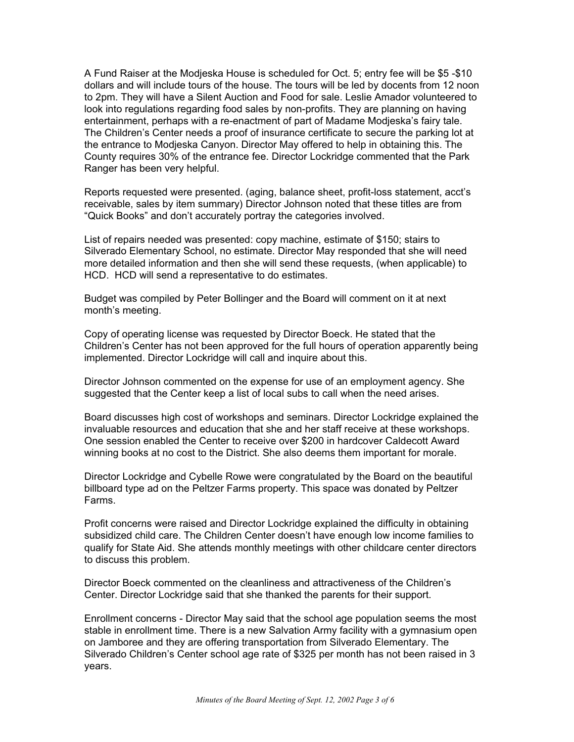A Fund Raiser at the Modjeska House is scheduled for Oct. 5; entry fee will be \$5 -\$10 dollars and will include tours of the house. The tours will be led by docents from 12 noon to 2pm. They will have a Silent Auction and Food for sale. Leslie Amador volunteered to look into regulations regarding food sales by non-profits. They are planning on having entertainment, perhaps with a re-enactment of part of Madame Modjeska's fairy tale. The Children's Center needs a proof of insurance certificate to secure the parking lot at the entrance to Modjeska Canyon. Director May offered to help in obtaining this. The County requires 30% of the entrance fee. Director Lockridge commented that the Park Ranger has been very helpful.

Reports requested were presented. (aging, balance sheet, profit-loss statement, acct's receivable, sales by item summary) Director Johnson noted that these titles are from "Quick Books" and don't accurately portray the categories involved.

List of repairs needed was presented: copy machine, estimate of \$150; stairs to Silverado Elementary School, no estimate. Director May responded that she will need more detailed information and then she will send these requests, (when applicable) to HCD. HCD will send a representative to do estimates.

Budget was compiled by Peter Bollinger and the Board will comment on it at next month's meeting.

Copy of operating license was requested by Director Boeck. He stated that the Children's Center has not been approved for the full hours of operation apparently being implemented. Director Lockridge will call and inquire about this.

Director Johnson commented on the expense for use of an employment agency. She suggested that the Center keep a list of local subs to call when the need arises.

Board discusses high cost of workshops and seminars. Director Lockridge explained the invaluable resources and education that she and her staff receive at these workshops. One session enabled the Center to receive over \$200 in hardcover Caldecott Award winning books at no cost to the District. She also deems them important for morale.

Director Lockridge and Cybelle Rowe were congratulated by the Board on the beautiful billboard type ad on the Peltzer Farms property. This space was donated by Peltzer Farms.

Profit concerns were raised and Director Lockridge explained the difficulty in obtaining subsidized child care. The Children Center doesn't have enough low income families to qualify for State Aid. She attends monthly meetings with other childcare center directors to discuss this problem.

Director Boeck commented on the cleanliness and attractiveness of the Children's Center. Director Lockridge said that she thanked the parents for their support.

Enrollment concerns - Director May said that the school age population seems the most stable in enrollment time. There is a new Salvation Army facility with a gymnasium open on Jamboree and they are offering transportation from Silverado Elementary. The Silverado Children's Center school age rate of \$325 per month has not been raised in 3 years.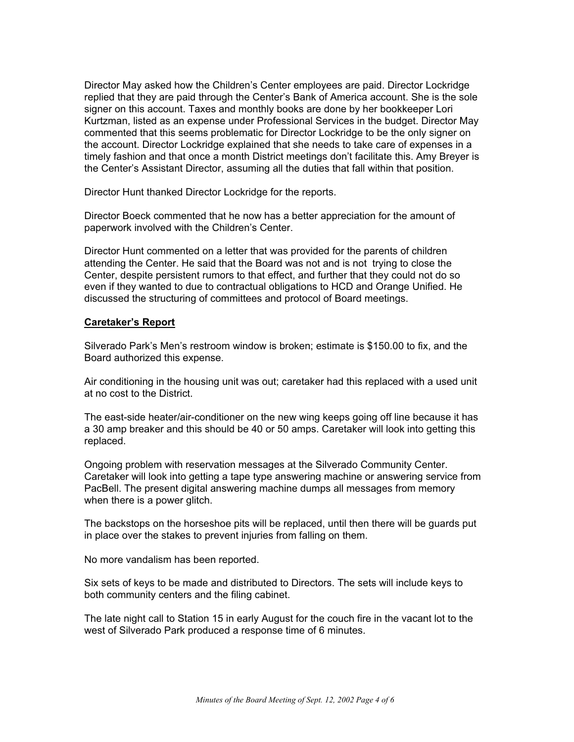Director May asked how the Children's Center employees are paid. Director Lockridge replied that they are paid through the Center's Bank of America account. She is the sole signer on this account. Taxes and monthly books are done by her bookkeeper Lori Kurtzman, listed as an expense under Professional Services in the budget. Director May commented that this seems problematic for Director Lockridge to be the only signer on the account. Director Lockridge explained that she needs to take care of expenses in a timely fashion and that once a month District meetings don't facilitate this. Amy Breyer is the Center's Assistant Director, assuming all the duties that fall within that position.

Director Hunt thanked Director Lockridge for the reports.

Director Boeck commented that he now has a better appreciation for the amount of paperwork involved with the Children's Center.

Director Hunt commented on a letter that was provided for the parents of children attending the Center. He said that the Board was not and is not trying to close the Center, despite persistent rumors to that effect, and further that they could not do so even if they wanted to due to contractual obligations to HCD and Orange Unified. He discussed the structuring of committees and protocol of Board meetings.

#### **Caretaker's Report**

Silverado Park's Men's restroom window is broken; estimate is \$150.00 to fix, and the Board authorized this expense.

Air conditioning in the housing unit was out; caretaker had this replaced with a used unit at no cost to the District.

The east-side heater/air-conditioner on the new wing keeps going off line because it has a 30 amp breaker and this should be 40 or 50 amps. Caretaker will look into getting this replaced.

Ongoing problem with reservation messages at the Silverado Community Center. Caretaker will look into getting a tape type answering machine or answering service from PacBell. The present digital answering machine dumps all messages from memory when there is a power glitch.

The backstops on the horseshoe pits will be replaced, until then there will be guards put in place over the stakes to prevent injuries from falling on them.

No more vandalism has been reported.

Six sets of keys to be made and distributed to Directors. The sets will include keys to both community centers and the filing cabinet.

The late night call to Station 15 in early August for the couch fire in the vacant lot to the west of Silverado Park produced a response time of 6 minutes.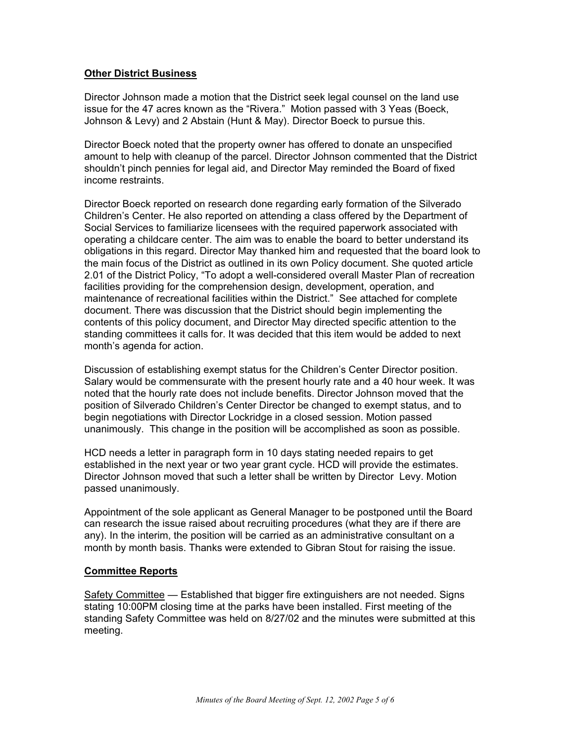### **Other District Business**

Director Johnson made a motion that the District seek legal counsel on the land use issue for the 47 acres known as the "Rivera." Motion passed with 3 Yeas (Boeck, Johnson & Levy) and 2 Abstain (Hunt & May). Director Boeck to pursue this.

Director Boeck noted that the property owner has offered to donate an unspecified amount to help with cleanup of the parcel. Director Johnson commented that the District shouldn't pinch pennies for legal aid, and Director May reminded the Board of fixed income restraints.

Director Boeck reported on research done regarding early formation of the Silverado Children's Center. He also reported on attending a class offered by the Department of Social Services to familiarize licensees with the required paperwork associated with operating a childcare center. The aim was to enable the board to better understand its obligations in this regard. Director May thanked him and requested that the board look to the main focus of the District as outlined in its own Policy document. She quoted article 2.01 of the District Policy, "To adopt a well-considered overall Master Plan of recreation facilities providing for the comprehension design, development, operation, and maintenance of recreational facilities within the District." See attached for complete document. There was discussion that the District should begin implementing the contents of this policy document, and Director May directed specific attention to the standing committees it calls for. It was decided that this item would be added to next month's agenda for action.

Discussion of establishing exempt status for the Children's Center Director position. Salary would be commensurate with the present hourly rate and a 40 hour week. It was noted that the hourly rate does not include benefits. Director Johnson moved that the position of Silverado Children's Center Director be changed to exempt status, and to begin negotiations with Director Lockridge in a closed session. Motion passed unanimously. This change in the position will be accomplished as soon as possible.

HCD needs a letter in paragraph form in 10 days stating needed repairs to get established in the next year or two year grant cycle. HCD will provide the estimates. Director Johnson moved that such a letter shall be written by Director Levy. Motion passed unanimously.

Appointment of the sole applicant as General Manager to be postponed until the Board can research the issue raised about recruiting procedures (what they are if there are any). In the interim, the position will be carried as an administrative consultant on a month by month basis. Thanks were extended to Gibran Stout for raising the issue.

#### **Committee Reports**

Safety Committee — Established that bigger fire extinguishers are not needed. Signs stating 10:00PM closing time at the parks have been installed. First meeting of the standing Safety Committee was held on 8/27/02 and the minutes were submitted at this meeting.